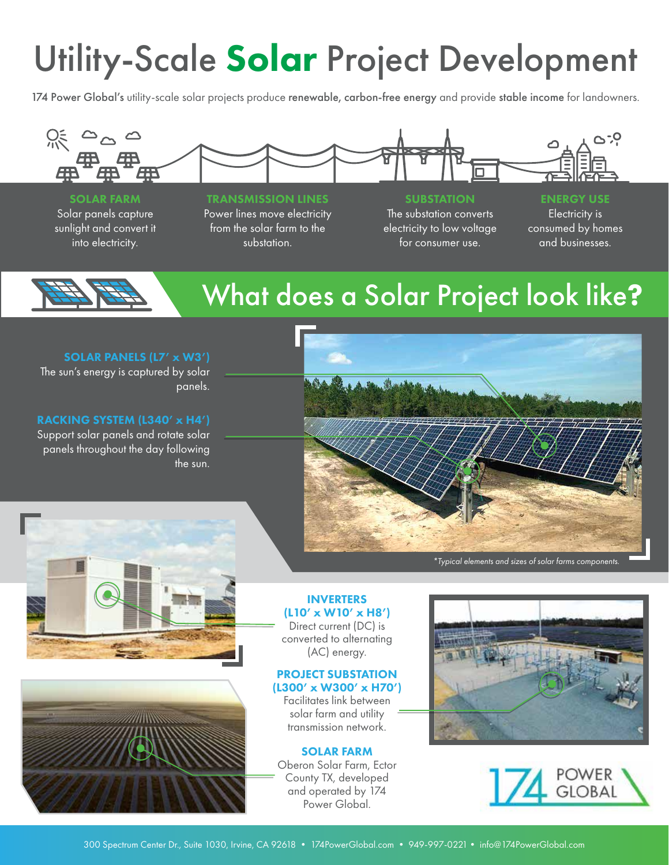## Utility-Scale Solar Project Development

174 Power Global's utility-scale solar projects produce renewable, carbon-free energy and provide stable income for landowners.



SOLAR FARM Solar panels capture sunlight and convert it into electricity.

### TRANSMISSION LINES Power lines move electricity from the solar farm to the substation.

### **SUBSTATION** The substation converts electricity to low voltage for consumer use.

# ENERGY USE

Electricity is consumed by homes and businesses.



### What does a Solar Project look like?



*\*Typical elements and sizes of solar farms components.*

#### INVERTERS (L10' x W10' x H8')

Direct current (DC) is converted to alternating (AC) energy.

#### PROJECT SUBSTATION (L300' x W300' x H70')

Facilitates link between solar farm and utility transmission network.

### SOLAR FARM

Oberon Solar Farm, Ector County TX, developed and operated by 174 Power Global.





SOLAR PANELS (L7' x W3') The sun's energy is captured by solar

panels.

RACKING SYSTEM (L340' x H4')

Support solar panels and rotate solar panels throughout the day following the sun.